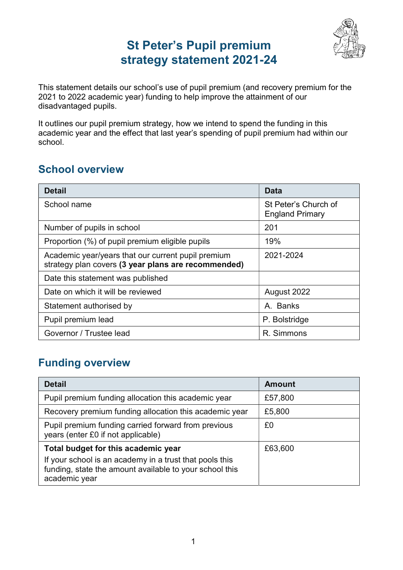# St Peter's Pupil premium strategy statement 2021-24



This statement details our school's use of pupil premium (and recovery premium for the 2021 to 2022 academic year) funding to help improve the attainment of our disadvantaged pupils.

It outlines our pupil premium strategy, how we intend to spend the funding in this academic year and the effect that last year's spending of pupil premium had within our school.

### School overview

| Detail                                                                                                    | Data                                           |  |  |
|-----------------------------------------------------------------------------------------------------------|------------------------------------------------|--|--|
| School name                                                                                               | St Peter's Church of<br><b>England Primary</b> |  |  |
| Number of pupils in school                                                                                | 201                                            |  |  |
| Proportion (%) of pupil premium eligible pupils                                                           | 19%                                            |  |  |
| Academic year/years that our current pupil premium<br>strategy plan covers (3 year plans are recommended) | 2021-2024                                      |  |  |
| Date this statement was published                                                                         |                                                |  |  |
| Date on which it will be reviewed                                                                         | August 2022                                    |  |  |
| Statement authorised by                                                                                   | A. Banks                                       |  |  |
| Pupil premium lead                                                                                        | P. Bolstridge                                  |  |  |
| Governor / Trustee lead                                                                                   | R. Simmons                                     |  |  |

### Funding overview

| <b>Detail</b>                                                                                                                       | <b>Amount</b> |
|-------------------------------------------------------------------------------------------------------------------------------------|---------------|
| Pupil premium funding allocation this academic year                                                                                 | £57,800       |
| Recovery premium funding allocation this academic year                                                                              | £5,800        |
| Pupil premium funding carried forward from previous<br>years (enter £0 if not applicable)                                           | £0            |
| Total budget for this academic year                                                                                                 | £63,600       |
| If your school is an academy in a trust that pools this<br>funding, state the amount available to your school this<br>academic year |               |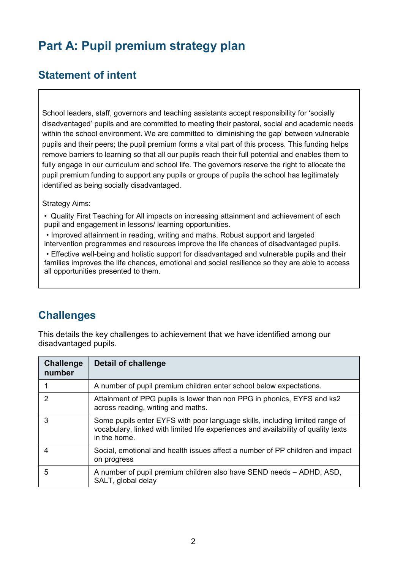# Part A: Pupil premium strategy plan

### Statement of intent

School leaders, staff, governors and teaching assistants accept responsibility for 'socially disadvantaged' pupils and are committed to meeting their pastoral, social and academic needs within the school environment. We are committed to 'diminishing the gap' between vulnerable pupils and their peers; the pupil premium forms a vital part of this process. This funding helps remove barriers to learning so that all our pupils reach their full potential and enables them to fully engage in our curriculum and school life. The governors reserve the right to allocate the pupil premium funding to support any pupils or groups of pupils the school has legitimately identified as being socially disadvantaged.

#### Strategy Aims:

• Quality First Teaching for All impacts on increasing attainment and achievement of each pupil and engagement in lessons/ learning opportunities.

 • Improved attainment in reading, writing and maths. Robust support and targeted intervention programmes and resources improve the life chances of disadvantaged pupils.

 • Effective well-being and holistic support for disadvantaged and vulnerable pupils and their families improves the life chances, emotional and social resilience so they are able to access all opportunities presented to them.

#### **Challenges**

This details the key challenges to achievement that we have identified among our disadvantaged pupils.

| <b>Challenge</b><br>number | Detail of challenge                                                                                                                                                                |
|----------------------------|------------------------------------------------------------------------------------------------------------------------------------------------------------------------------------|
|                            | A number of pupil premium children enter school below expectations.                                                                                                                |
| $\mathcal{P}$              | Attainment of PPG pupils is lower than non PPG in phonics, EYFS and ks2<br>across reading, writing and maths.                                                                      |
| 3                          | Some pupils enter EYFS with poor language skills, including limited range of<br>vocabulary, linked with limited life experiences and availability of quality texts<br>in the home. |
|                            | Social, emotional and health issues affect a number of PP children and impact<br>on progress                                                                                       |
| 5                          | A number of pupil premium children also have SEND needs - ADHD, ASD,<br>SALT, global delay                                                                                         |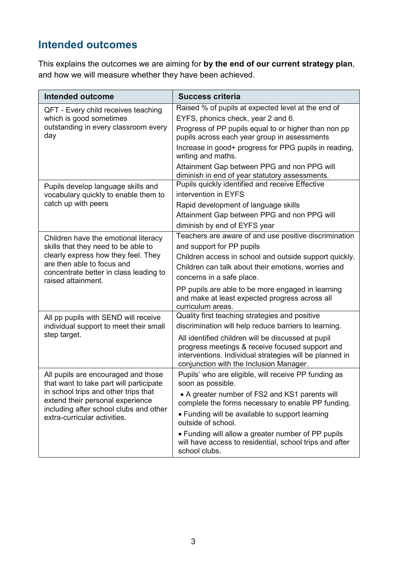## Intended outcomes

This explains the outcomes we are aiming for by the end of our current strategy plan, and how we will measure whether they have been achieved.

| Intended outcome                                                               | <b>Success criteria</b>                                                                                                                                                                                     |
|--------------------------------------------------------------------------------|-------------------------------------------------------------------------------------------------------------------------------------------------------------------------------------------------------------|
| QFT - Every child receives teaching<br>which is good sometimes                 | Raised % of pupils at expected level at the end of<br>EYFS, phonics check, year 2 and 6.                                                                                                                    |
| outstanding in every classroom every<br>day                                    | Progress of PP pupils equal to or higher than non pp<br>pupils across each year group in assessments                                                                                                        |
|                                                                                | Increase in good+ progress for PPG pupils in reading,<br>writing and maths.                                                                                                                                 |
|                                                                                | Attainment Gap between PPG and non PPG will<br>diminish in end of year statutory assessments.                                                                                                               |
| Pupils develop language skills and                                             | Pupils quickly identified and receive Effective                                                                                                                                                             |
| vocabulary quickly to enable them to                                           | intervention in EYFS                                                                                                                                                                                        |
| catch up with peers                                                            | Rapid development of language skills                                                                                                                                                                        |
|                                                                                | Attainment Gap between PPG and non PPG will                                                                                                                                                                 |
|                                                                                | diminish by end of EYFS year                                                                                                                                                                                |
| Children have the emotional literacy                                           | Teachers are aware of and use positive discrimination                                                                                                                                                       |
| skills that they need to be able to                                            | and support for PP pupils                                                                                                                                                                                   |
| clearly express how they feel. They                                            | Children access in school and outside support quickly.                                                                                                                                                      |
| are then able to focus and                                                     | Children can talk about their emotions, worries and                                                                                                                                                         |
| concentrate better in class leading to<br>raised attainment.                   | concerns in a safe place.                                                                                                                                                                                   |
|                                                                                | PP pupils are able to be more engaged in learning<br>and make at least expected progress across all<br>curriculum areas.                                                                                    |
| All pp pupils with SEND will receive                                           | Quality first teaching strategies and positive                                                                                                                                                              |
| individual support to meet their small                                         | discrimination will help reduce barriers to learning.                                                                                                                                                       |
| step target.                                                                   | All identified children will be discussed at pupil<br>progress meetings & receive focused support and<br>interventions. Individual strategies will be planned in<br>conjunction with the Inclusion Manager. |
| All pupils are encouraged and those<br>that want to take part will participate | Pupils' who are eligible, will receive PP funding as<br>soon as possible.                                                                                                                                   |
| in school trips and other trips that<br>extend their personal experience       | • A greater number of FS2 and KS1 parents will<br>complete the forms necessary to enable PP funding.                                                                                                        |
| including after school clubs and other<br>extra-curricular activities.         | • Funding will be available to support learning<br>outside of school.                                                                                                                                       |
|                                                                                | • Funding will allow a greater number of PP pupils<br>will have access to residential, school trips and after<br>school clubs.                                                                              |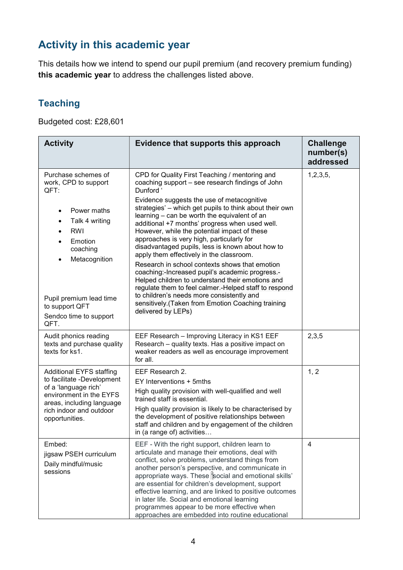### Activity in this academic year

This details how we intend to spend our pupil premium (and recovery premium funding) this academic year to address the challenges listed above.

#### **Teaching**

Budgeted cost: £28,601

| <b>Activity</b>                                                                                                                                                                                                                                                               | Evidence that supports this approach                                                                                                                                                                                                                                                                                                                                                                                                                                                                                                                                                                                                                                                                                                                                                                                                                               | <b>Challenge</b><br>number(s)<br>addressed |
|-------------------------------------------------------------------------------------------------------------------------------------------------------------------------------------------------------------------------------------------------------------------------------|--------------------------------------------------------------------------------------------------------------------------------------------------------------------------------------------------------------------------------------------------------------------------------------------------------------------------------------------------------------------------------------------------------------------------------------------------------------------------------------------------------------------------------------------------------------------------------------------------------------------------------------------------------------------------------------------------------------------------------------------------------------------------------------------------------------------------------------------------------------------|--------------------------------------------|
| Purchase schemes of<br>work, CPD to support<br>QFT:<br>Power maths<br>$\bullet$<br>Talk 4 writing<br><b>RWI</b><br>$\bullet$<br>Emotion<br>$\bullet$<br>coaching<br>Metacognition<br>$\bullet$<br>Pupil premium lead time<br>to support QFT<br>Sendco time to support<br>QFT. | CPD for Quality First Teaching / mentoring and<br>coaching support - see research findings of John<br>Dunford '<br>Evidence suggests the use of metacognitive<br>strategies' – which get pupils to think about their own<br>learning - can be worth the equivalent of an<br>additional +7 months' progress when used well.<br>However, while the potential impact of these<br>approaches is very high, particularly for<br>disadvantaged pupils, less is known about how to<br>apply them effectively in the classroom.<br>Research in school contexts shows that emotion<br>coaching:-Increased pupil's academic progress.-<br>Helped children to understand their emotions and<br>regulate them to feel calmer.-Helped staff to respond<br>to children's needs more consistently and<br>sensitively. (Taken from Emotion Coaching training<br>delivered by LEPs) | 1, 2, 3, 5,                                |
| Audit phonics reading<br>texts and purchase quality<br>texts for ks1.                                                                                                                                                                                                         | EEF Research - Improving Literacy in KS1 EEF<br>Research - quality texts. Has a positive impact on<br>weaker readers as well as encourage improvement<br>for all.                                                                                                                                                                                                                                                                                                                                                                                                                                                                                                                                                                                                                                                                                                  | 2,3,5                                      |
| <b>Additional EYFS staffing</b><br>to facilitate -Development<br>of a 'language rich'<br>environment in the EYFS<br>areas, including language<br>rich indoor and outdoor<br>opportunities.                                                                                    | EEF Research 2.<br>EY Interventions + 5mths<br>High quality provision with well-qualified and well<br>trained staff is essential.<br>High quality provision is likely to be characterised by<br>the development of positive relationships between<br>staff and children and by engagement of the children<br>in (a range of) activities                                                                                                                                                                                                                                                                                                                                                                                                                                                                                                                            | 1, 2                                       |
| Embed:<br>jigsaw PSEH curriculum<br>Daily mindful/music<br>sessions                                                                                                                                                                                                           | EEF - With the right support, children learn to<br>articulate and manage their emotions, deal with<br>conflict, solve problems, understand things from<br>another person's perspective, and communicate in<br>appropriate ways. These social and emotional skills'<br>are essential for children's development, support<br>effective learning, and are linked to positive outcomes<br>in later life. Social and emotional learning<br>programmes appear to be more effective when<br>approaches are embedded into routine educational                                                                                                                                                                                                                                                                                                                              | 4                                          |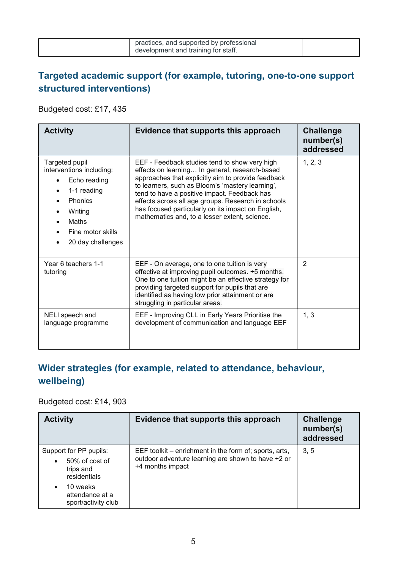| practices, and supported by professional<br>development and training for staff. |  |
|---------------------------------------------------------------------------------|--|
|                                                                                 |  |

#### Targeted academic support (for example, tutoring, one-to-one support structured interventions)

Budgeted cost: £17, 435

| <b>Activity</b>                                                                                                                                                  | Evidence that supports this approach                                                                                                                                                                                                                                                                                                                                                                                   | <b>Challenge</b><br>number(s)<br>addressed |  |
|------------------------------------------------------------------------------------------------------------------------------------------------------------------|------------------------------------------------------------------------------------------------------------------------------------------------------------------------------------------------------------------------------------------------------------------------------------------------------------------------------------------------------------------------------------------------------------------------|--------------------------------------------|--|
| Targeted pupil<br>interventions including:<br>Echo reading<br>1-1 reading<br><b>Phonics</b><br>Writing<br><b>Maths</b><br>Fine motor skills<br>20 day challenges | EEF - Feedback studies tend to show very high<br>effects on learning In general, research-based<br>approaches that explicitly aim to provide feedback<br>to learners, such as Bloom's 'mastery learning',<br>tend to have a positive impact. Feedback has<br>effects across all age groups. Research in schools<br>has focused particularly on its impact on English,<br>mathematics and, to a lesser extent, science. | 1, 2, 3                                    |  |
| Year 6 teachers 1-1<br>tutoring                                                                                                                                  | EEF - On average, one to one tuition is very<br>effective at improving pupil outcomes. +5 months.<br>One to one tuition might be an effective strategy for<br>providing targeted support for pupils that are<br>identified as having low prior attainment or are<br>struggling in particular areas.                                                                                                                    | $\overline{2}$                             |  |
| NELI speech and<br>language programme                                                                                                                            | EEF - Improving CLL in Early Years Prioritise the<br>development of communication and language EEF                                                                                                                                                                                                                                                                                                                     | 1, 3                                       |  |

#### Wider strategies (for example, related to attendance, behaviour, wellbeing)

#### Budgeted cost: £14, 903

| <b>Activity</b>                                                       | Evidence that supports this approach                                                                                             | <b>Challenge</b><br>number(s)<br>addressed |
|-----------------------------------------------------------------------|----------------------------------------------------------------------------------------------------------------------------------|--------------------------------------------|
| Support for PP pupils:<br>50% of cost of<br>trips and<br>residentials | EEF toolkit – enrichment in the form of; sports, arts,<br>outdoor adventure learning are shown to have +2 or<br>+4 months impact | 3.5                                        |
| 10 weeks<br>$\bullet$<br>attendance at a<br>sport/activity club       |                                                                                                                                  |                                            |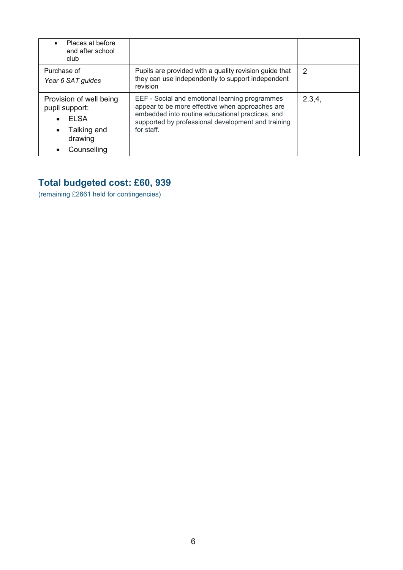| Places at before<br>and after school<br>club                                                                                |                                                                                                                                                                                                                           |               |
|-----------------------------------------------------------------------------------------------------------------------------|---------------------------------------------------------------------------------------------------------------------------------------------------------------------------------------------------------------------------|---------------|
| Purchase of<br>Year 6 SAT guides                                                                                            | Pupils are provided with a quality revision guide that<br>they can use independently to support independent<br>revision                                                                                                   | $\mathcal{P}$ |
| Provision of well being<br>pupil support:<br><b>ELSA</b><br>$\bullet$<br>Talking and<br>$\bullet$<br>drawing<br>Counselling | EEF - Social and emotional learning programmes<br>appear to be more effective when approaches are<br>embedded into routine educational practices, and<br>supported by professional development and training<br>for staff. | 2,3,4,        |

#### Total budgeted cost: £60, 939

(remaining £2661 held for contingencies)